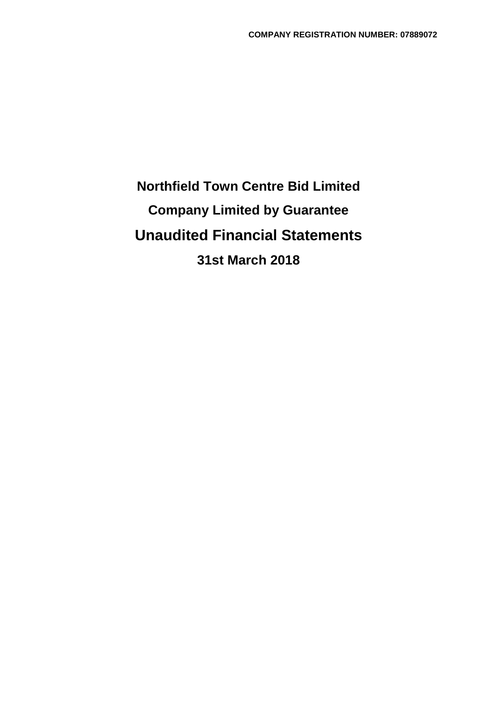# **Northfield Town Centre Bid Limited Company Limited by Guarantee Unaudited Financial Statements 31st March 2018**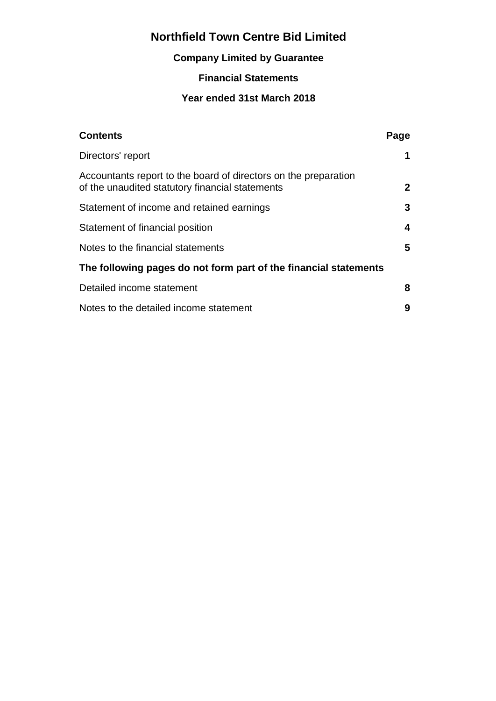# **Company Limited by Guarantee**

# **Financial Statements**

### **Year ended 31st March 2018**

| <b>Contents</b>                                                                                                    | Page         |
|--------------------------------------------------------------------------------------------------------------------|--------------|
| Directors' report                                                                                                  | 1            |
| Accountants report to the board of directors on the preparation<br>of the unaudited statutory financial statements | $\mathbf{2}$ |
| Statement of income and retained earnings                                                                          | 3            |
| Statement of financial position                                                                                    | 4            |
| Notes to the financial statements                                                                                  | 5            |
| The following pages do not form part of the financial statements                                                   |              |
| Detailed income statement                                                                                          | 8            |
| Notes to the detailed income statement                                                                             | 9            |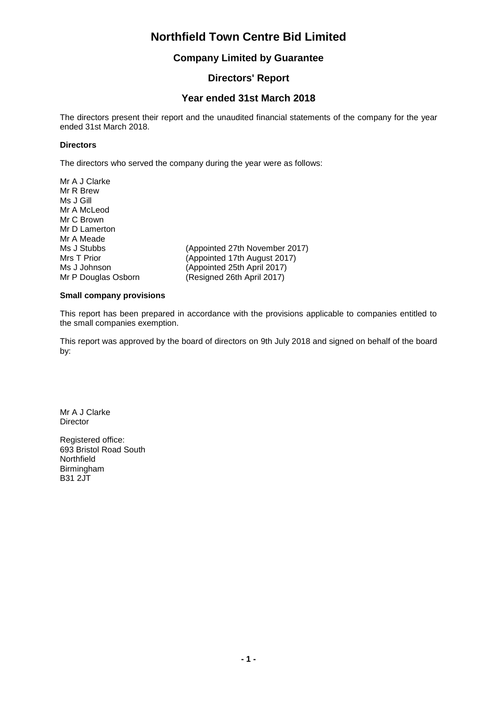#### **Company Limited by Guarantee**

### **Directors' Report**

#### **Year ended 31st March 2018**

The directors present their report and the unaudited financial statements of the company for the year ended 31st March 2018.

#### **Directors**

The directors who served the company during the year were as follows:

Mr A J Clarke Mr R Brew Ms J Gill Mr A McLeod Mr C Brown Mr D Lamerton Mr A Meade<br>Ms J Stubbs Ms J Stubbs (Appointed 27th November 2017)<br>
Mrs T Prior (Appointed 17th August 2017) (Appointed 17th August 2017) Ms J Johnson (Appointed 25th April 2017)<br>Mr P Douglas Osborn (Resigned 26th April 2017) (Resigned 26th April 2017)

#### **Small company provisions**

This report has been prepared in accordance with the provisions applicable to companies entitled to the small companies exemption.

This report was approved by the board of directors on 9th July 2018 and signed on behalf of the board by:

Mr A J Clarke **Director** 

Registered office: 693 Bristol Road South **Northfield** Birmingham B31 2JT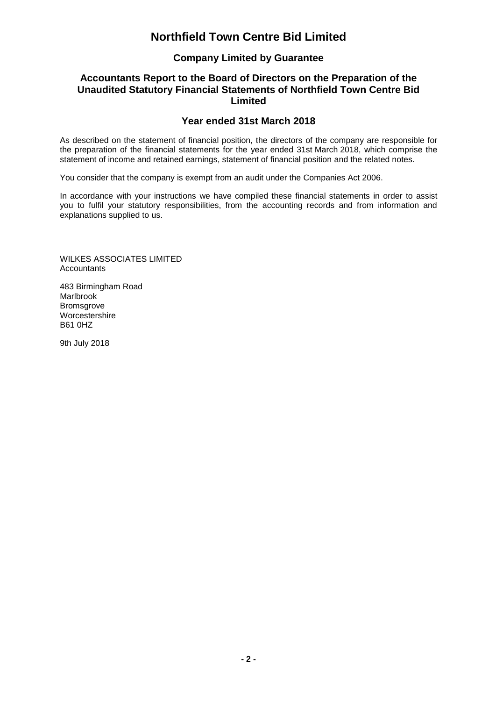### **Company Limited by Guarantee**

#### **Accountants Report to the Board of Directors on the Preparation of the Unaudited Statutory Financial Statements of Northfield Town Centre Bid Limited**

#### **Year ended 31st March 2018**

As described on the statement of financial position, the directors of the company are responsible for the preparation of the financial statements for the year ended 31st March 2018, which comprise the statement of income and retained earnings, statement of financial position and the related notes.

You consider that the company is exempt from an audit under the Companies Act 2006.

In accordance with your instructions we have compiled these financial statements in order to assist you to fulfil your statutory responsibilities, from the accounting records and from information and explanations supplied to us.

WILKES ASSOCIATES LIMITED Accountants

483 Birmingham Road Marlbrook **Bromsgrove Worcestershire** B61 0HZ

9th July 2018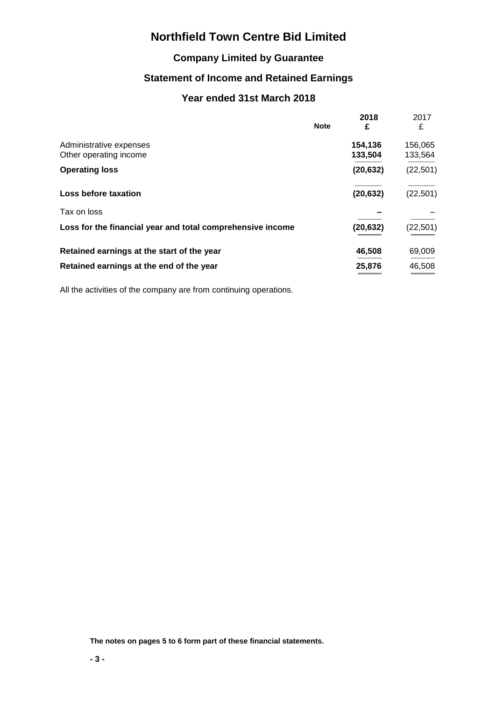### **Company Limited by Guarantee**

### **Statement of Income and Retained Earnings**

### **Year ended 31st March 2018**

|                                                            | <b>Note</b> | 2018<br>£          | 2017<br>£          |
|------------------------------------------------------------|-------------|--------------------|--------------------|
| Administrative expenses<br>Other operating income          |             | 154,136<br>133,504 | 156,065<br>133,564 |
| <b>Operating loss</b>                                      |             | (20, 632)          | (22, 501)          |
| Loss before taxation                                       |             | (20, 632)          | (22, 501)          |
| Tax on loss                                                |             |                    |                    |
| Loss for the financial year and total comprehensive income |             | (20, 632)          | (22, 501)          |
| Retained earnings at the start of the year                 |             | 46,508             | 69,009             |
| Retained earnings at the end of the year                   |             | 25,876             | 46,508             |

All the activities of the company are from continuing operations.

**The notes on pages 5 to 6 form part of these financial statements.**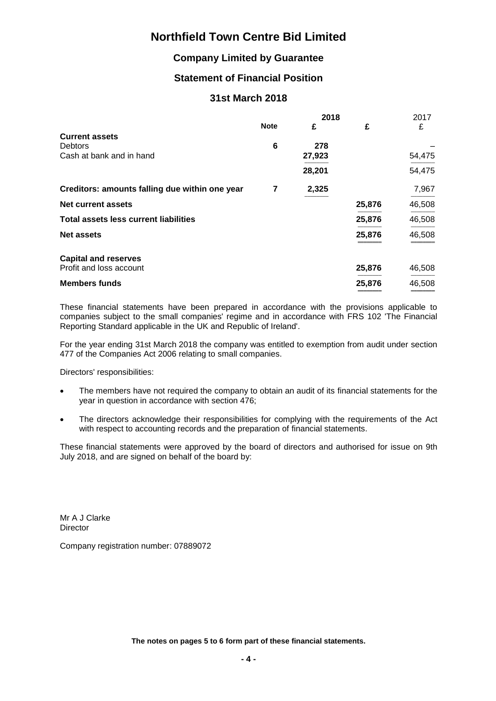### **Company Limited by Guarantee**

### **Statement of Financial Position**

#### **31st March 2018**

|                                                | 2018        |        | 2017   |        |
|------------------------------------------------|-------------|--------|--------|--------|
|                                                | <b>Note</b> | £      | £      | £      |
| <b>Current assets</b>                          |             |        |        |        |
| <b>Debtors</b>                                 | 6           | 278    |        |        |
| Cash at bank and in hand                       |             | 27,923 |        | 54,475 |
|                                                |             | 28,201 |        | 54,475 |
| Creditors: amounts falling due within one year | 7           | 2,325  |        | 7,967  |
| <b>Net current assets</b>                      |             |        | 25,876 | 46,508 |
| <b>Total assets less current liabilities</b>   |             |        | 25,876 | 46,508 |
| <b>Net assets</b>                              |             |        | 25,876 | 46,508 |
| <b>Capital and reserves</b>                    |             |        |        |        |
| Profit and loss account                        |             |        | 25,876 | 46,508 |
| <b>Members funds</b>                           |             |        | 25,876 | 46,508 |

These financial statements have been prepared in accordance with the provisions applicable to companies subject to the small companies' regime and in accordance with FRS 102 'The Financial Reporting Standard applicable in the UK and Republic of Ireland'.

For the year ending 31st March 2018 the company was entitled to exemption from audit under section 477 of the Companies Act 2006 relating to small companies.

Directors' responsibilities:

- The members have not required the company to obtain an audit of its financial statements for the year in question in accordance with section 476;
- The directors acknowledge their responsibilities for complying with the requirements of the Act with respect to accounting records and the preparation of financial statements.

These financial statements were approved by the board of directors and authorised for issue on 9th July 2018, and are signed on behalf of the board by:

Mr A J Clarke **Director** 

Company registration number: 07889072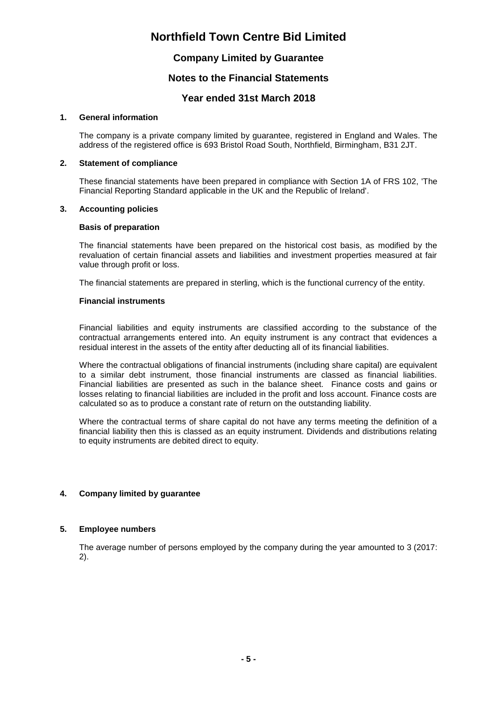### **Company Limited by Guarantee**

#### **Notes to the Financial Statements**

#### **Year ended 31st March 2018**

#### **1. General information**

The company is a private company limited by guarantee, registered in England and Wales. The address of the registered office is 693 Bristol Road South, Northfield, Birmingham, B31 2JT.

#### **2. Statement of compliance**

These financial statements have been prepared in compliance with Section 1A of FRS 102, 'The Financial Reporting Standard applicable in the UK and the Republic of Ireland'.

#### **3. Accounting policies**

#### **Basis of preparation**

The financial statements have been prepared on the historical cost basis, as modified by the revaluation of certain financial assets and liabilities and investment properties measured at fair value through profit or loss.

The financial statements are prepared in sterling, which is the functional currency of the entity.

#### **Financial instruments**

Financial liabilities and equity instruments are classified according to the substance of the contractual arrangements entered into. An equity instrument is any contract that evidences a residual interest in the assets of the entity after deducting all of its financial liabilities.

Where the contractual obligations of financial instruments (including share capital) are equivalent to a similar debt instrument, those financial instruments are classed as financial liabilities. Financial liabilities are presented as such in the balance sheet. Finance costs and gains or losses relating to financial liabilities are included in the profit and loss account. Finance costs are calculated so as to produce a constant rate of return on the outstanding liability.

Where the contractual terms of share capital do not have any terms meeting the definition of a financial liability then this is classed as an equity instrument. Dividends and distributions relating to equity instruments are debited direct to equity.

#### **4. Company limited by guarantee**

#### **5. Employee numbers**

The average number of persons employed by the company during the year amounted to 3 (2017: 2).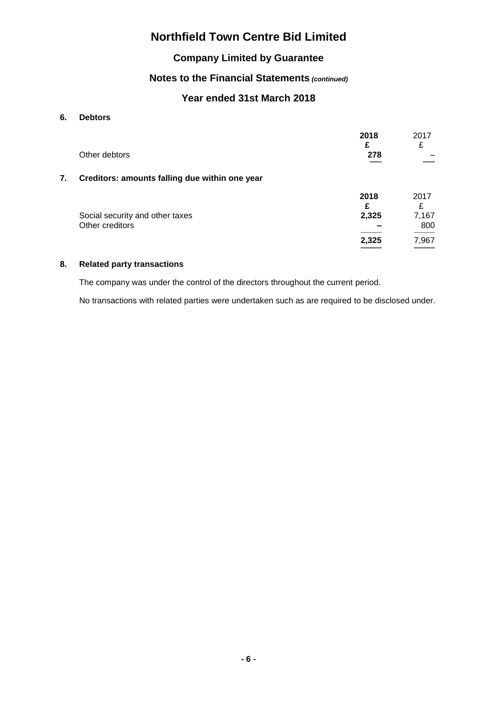### **Company Limited by Guarantee**

### **Notes to the Financial Statements** *(continued)*

### **Year ended 31st March 2018**

#### **6. Debtors**

|    |                                                    | 2018<br>£ | 2017<br>£    |
|----|----------------------------------------------------|-----------|--------------|
|    | Other debtors                                      | 278       |              |
| 7. | Creditors: amounts falling due within one year     |           |              |
|    |                                                    | 2018      | 2017<br>£    |
|    | Social security and other taxes<br>Other creditors | 2,325     | 7,167<br>800 |
|    |                                                    | 2,325     | 7,967        |

#### **8. Related party transactions**

The company was under the control of the directors throughout the current period.

No transactions with related parties were undertaken such as are required to be disclosed under.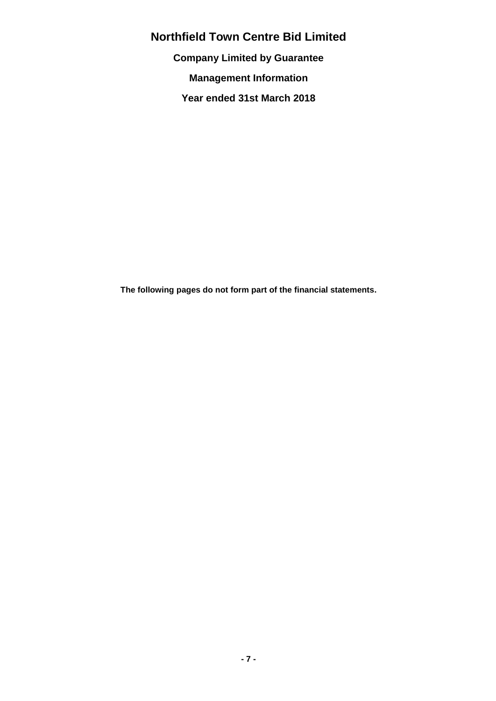**Company Limited by Guarantee**

**Management Information**

**Year ended 31st March 2018**

**The following pages do not form part of the financial statements.**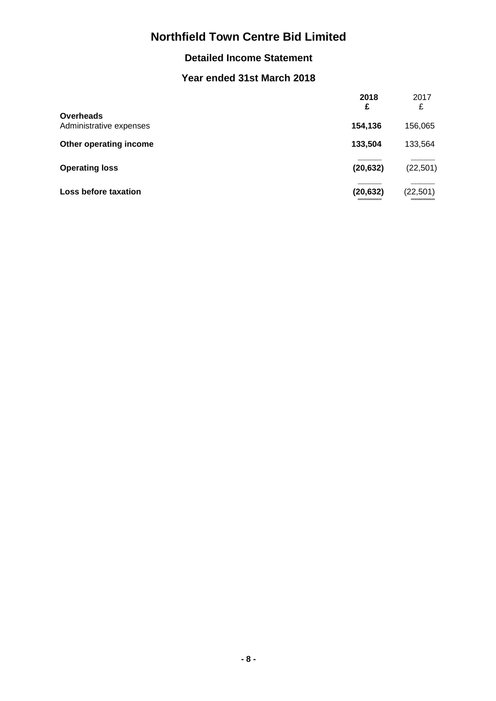### **Detailed Income Statement**

### **Year ended 31st March 2018**

|                                             | 2018<br>£ | 2017<br>£ |
|---------------------------------------------|-----------|-----------|
| <b>Overheads</b><br>Administrative expenses | 154,136   | 156,065   |
| Other operating income                      | 133,504   | 133,564   |
| <b>Operating loss</b>                       | (20, 632) | (22, 501) |
| Loss before taxation                        | (20, 632) | (22, 501) |